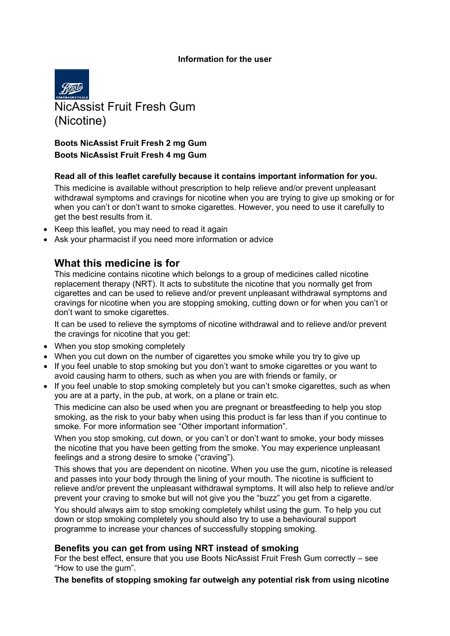#### **Information for the user**



## **Boots NicAssist Fruit Fresh 2 mg Gum Boots NicAssist Fruit Fresh 4 mg Gum**

#### **Read all of this leaflet carefully because it contains important information for you.**

This medicine is available without prescription to help relieve and/or prevent unpleasant withdrawal symptoms and cravings for nicotine when you are trying to give up smoking or for when you can't or don't want to smoke cigarettes. However, you need to use it carefully to get the best results from it.

- Keep this leaflet, you may need to read it again
- Ask your pharmacist if you need more information or advice

## **What this medicine is for**

This medicine contains nicotine which belongs to a group of medicines called nicotine replacement therapy (NRT). It acts to substitute the nicotine that you normally get from cigarettes and can be used to relieve and/or prevent unpleasant withdrawal symptoms and cravings for nicotine when you are stopping smoking, cutting down or for when you can't or don't want to smoke cigarettes.

It can be used to relieve the symptoms of nicotine withdrawal and to relieve and/or prevent the cravings for nicotine that you get:

- When you stop smoking completely
- When you cut down on the number of cigarettes you smoke while you try to give up
- If you feel unable to stop smoking but you don't want to smoke cigarettes or you want to avoid causing harm to others, such as when you are with friends or family, or
- If you feel unable to stop smoking completely but you can't smoke cigarettes, such as when you are at a party, in the pub, at work, on a plane or train etc.

This medicine can also be used when you are pregnant or breastfeeding to help you stop smoking, as the risk to your baby when using this product is far less than if you continue to smoke. For more information see "Other important information".

When you stop smoking, cut down, or you can't or don't want to smoke, your body misses the nicotine that you have been getting from the smoke. You may experience unpleasant feelings and a strong desire to smoke ("craving").

This shows that you are dependent on nicotine. When you use the gum, nicotine is released and passes into your body through the lining of your mouth. The nicotine is sufficient to relieve and/or prevent the unpleasant withdrawal symptoms. It will also help to relieve and/or prevent your craving to smoke but will not give you the "buzz" you get from a cigarette.

You should always aim to stop smoking completely whilst using the gum. To help you cut down or stop smoking completely you should also try to use a behavioural support programme to increase your chances of successfully stopping smoking.

#### **Benefits you can get from using NRT instead of smoking**

For the best effect, ensure that you use Boots NicAssist Fruit Fresh Gum correctly – see "How to use the gum".

**The benefits of stopping smoking far outweigh any potential risk from using nicotine**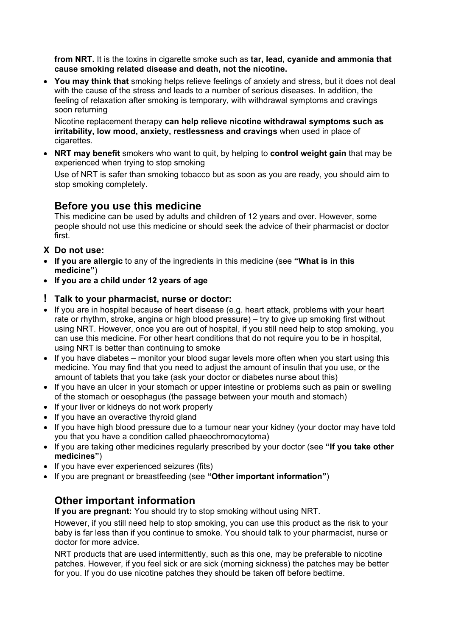**from NRT.** It is the toxins in cigarette smoke such as **tar, lead, cyanide and ammonia that cause smoking related disease and death, not the nicotine.** 

 **You may think that** smoking helps relieve feelings of anxiety and stress, but it does not deal with the cause of the stress and leads to a number of serious diseases. In addition, the feeling of relaxation after smoking is temporary, with withdrawal symptoms and cravings soon returning

Nicotine replacement therapy **can help relieve nicotine withdrawal symptoms such as irritability, low mood, anxiety, restlessness and cravings** when used in place of cigarettes.

 **NRT may benefit** smokers who want to quit, by helping to **control weight gain** that may be experienced when trying to stop smoking

Use of NRT is safer than smoking tobacco but as soon as you are ready, you should aim to stop smoking completely.

# **Before you use this medicine**

This medicine can be used by adults and children of 12 years and over. However, some people should not use this medicine or should seek the advice of their pharmacist or doctor first.

- **X Do not use:**
- **If you are allergic** to any of the ingredients in this medicine (see **"What is in this medicine"**)
- **If you are a child under 12 years of age**

## **! Talk to your pharmacist, nurse or doctor:**

- If you are in hospital because of heart disease (e.g. heart attack, problems with your heart rate or rhythm, stroke, angina or high blood pressure) – try to give up smoking first without using NRT. However, once you are out of hospital, if you still need help to stop smoking, you can use this medicine. For other heart conditions that do not require you to be in hospital, using NRT is better than continuing to smoke
- $\bullet$  If you have diabetes monitor your blood sugar levels more often when you start using this medicine. You may find that you need to adjust the amount of insulin that you use, or the amount of tablets that you take (ask your doctor or diabetes nurse about this)
- If you have an ulcer in your stomach or upper intestine or problems such as pain or swelling of the stomach or oesophagus (the passage between your mouth and stomach)
- If your liver or kidneys do not work properly
- If you have an overactive thyroid gland
- If you have high blood pressure due to a tumour near your kidney (your doctor may have told you that you have a condition called phaeochromocytoma)
- If you are taking other medicines regularly prescribed by your doctor (see **"If you take other medicines"**)
- If you have ever experienced seizures (fits)
- If you are pregnant or breastfeeding (see **"Other important information"**)

# **Other important information**

**If you are pregnant:** You should try to stop smoking without using NRT.

However, if you still need help to stop smoking, you can use this product as the risk to your baby is far less than if you continue to smoke. You should talk to your pharmacist, nurse or doctor for more advice.

NRT products that are used intermittently, such as this one, may be preferable to nicotine patches. However, if you feel sick or are sick (morning sickness) the patches may be better for you. If you do use nicotine patches they should be taken off before bedtime.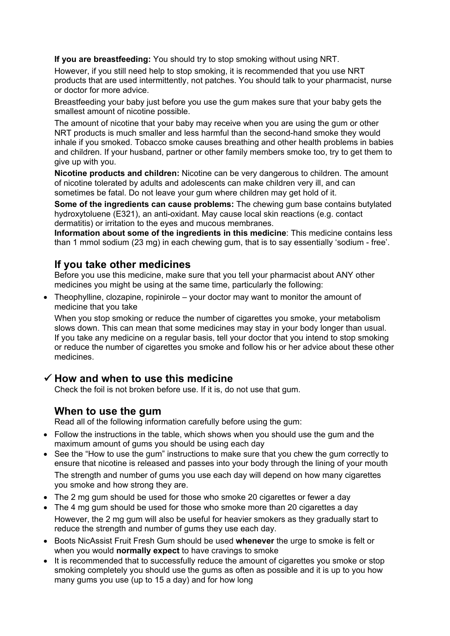**If you are breastfeeding:** You should try to stop smoking without using NRT.

However, if you still need help to stop smoking, it is recommended that you use NRT products that are used intermittently, not patches. You should talk to your pharmacist, nurse or doctor for more advice.

Breastfeeding your baby just before you use the gum makes sure that your baby gets the smallest amount of nicotine possible.

The amount of nicotine that your baby may receive when you are using the gum or other NRT products is much smaller and less harmful than the second-hand smoke they would inhale if you smoked. Tobacco smoke causes breathing and other health problems in babies and children. If your husband, partner or other family members smoke too, try to get them to give up with you.

**Nicotine products and children:** Nicotine can be very dangerous to children. The amount of nicotine tolerated by adults and adolescents can make children very ill, and can sometimes be fatal. Do not leave your gum where children may get hold of it.

**Some of the ingredients can cause problems:** The chewing gum base contains butylated hydroxytoluene (E321), an anti-oxidant. May cause local skin reactions (e.g. contact dermatitis) or irritation to the eyes and mucous membranes.

**Information about some of the ingredients in this medicine**: This medicine contains less than 1 mmol sodium (23 mg) in each chewing gum, that is to say essentially 'sodium - free'.

# **If you take other medicines**

Before you use this medicine, make sure that you tell your pharmacist about ANY other medicines you might be using at the same time, particularly the following:

 Theophylline, clozapine, ropinirole – your doctor may want to monitor the amount of medicine that you take

When you stop smoking or reduce the number of cigarettes you smoke, your metabolism slows down. This can mean that some medicines may stay in your body longer than usual. If you take any medicine on a regular basis, tell your doctor that you intend to stop smoking or reduce the number of cigarettes you smoke and follow his or her advice about these other medicines.

# **How and when to use this medicine**

Check the foil is not broken before use. If it is, do not use that gum.

# **When to use the gum**

Read all of the following information carefully before using the gum:

- Follow the instructions in the table, which shows when you should use the gum and the maximum amount of gums you should be using each day
- See the "How to use the gum" instructions to make sure that you chew the gum correctly to ensure that nicotine is released and passes into your body through the lining of your mouth The strength and number of gums you use each day will depend on how many cigarettes you smoke and how strong they are.
- The 2 mg gum should be used for those who smoke 20 cigarettes or fewer a day
- The 4 mg gum should be used for those who smoke more than 20 cigarettes a day However, the 2 mg gum will also be useful for heavier smokers as they gradually start to reduce the strength and number of gums they use each day.
- Boots NicAssist Fruit Fresh Gum should be used **whenever** the urge to smoke is felt or when you would **normally expect** to have cravings to smoke
- It is recommended that to successfully reduce the amount of cigarettes you smoke or stop smoking completely you should use the gums as often as possible and it is up to you how many gums you use (up to 15 a day) and for how long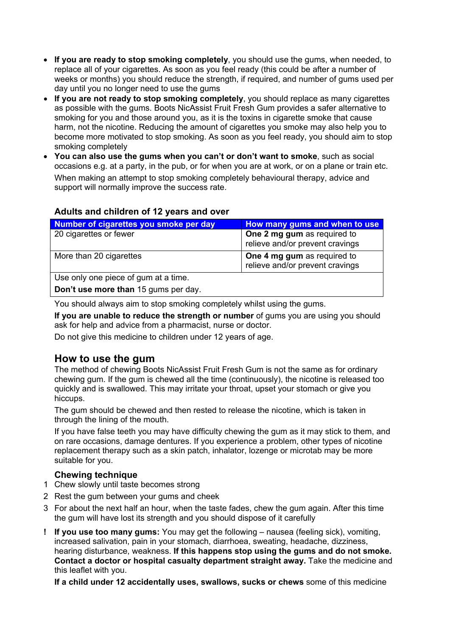- **If you are ready to stop smoking completely**, you should use the gums, when needed, to replace all of your cigarettes. As soon as you feel ready (this could be after a number of weeks or months) you should reduce the strength, if required, and number of gums used per day until you no longer need to use the gums
- **If you are not ready to stop smoking completely**, you should replace as many cigarettes as possible with the gums. Boots NicAssist Fruit Fresh Gum provides a safer alternative to smoking for you and those around you, as it is the toxins in cigarette smoke that cause harm, not the nicotine. Reducing the amount of cigarettes you smoke may also help you to become more motivated to stop smoking. As soon as you feel ready, you should aim to stop smoking completely
- **You can also use the gums when you can't or don't want to smoke**, such as social occasions e.g. at a party, in the pub, or for when you are at work, or on a plane or train etc. When making an attempt to stop smoking completely behavioural therapy, advice and support will normally improve the success rate.

## **Adults and children of 12 years and over**

| Number of cigarettes you smoke per day    | How many gums and when to use   |
|-------------------------------------------|---------------------------------|
| 20 cigarettes or fewer                    | One 2 mg gum as required to     |
|                                           | relieve and/or prevent cravings |
| More than 20 cigarettes                   | One 4 mg gum as required to     |
|                                           | relieve and/or prevent cravings |
| Use only one piece of gum at a time.      |                                 |
| Dealth use means then AF summer was devi- |                                 |

**Don't use more than** 15 gums per day.

You should always aim to stop smoking completely whilst using the gums.

**If you are unable to reduce the strength or number** of gums you are using you should ask for help and advice from a pharmacist, nurse or doctor.

Do not give this medicine to children under 12 years of age.

## **How to use the gum**

The method of chewing Boots NicAssist Fruit Fresh Gum is not the same as for ordinary chewing gum. If the gum is chewed all the time (continuously), the nicotine is released too quickly and is swallowed. This may irritate your throat, upset your stomach or give you hiccups.

The gum should be chewed and then rested to release the nicotine, which is taken in through the lining of the mouth.

If you have false teeth you may have difficulty chewing the gum as it may stick to them, and on rare occasions, damage dentures. If you experience a problem, other types of nicotine replacement therapy such as a skin patch, inhalator, lozenge or microtab may be more suitable for you.

#### **Chewing technique**

- 1 Chew slowly until taste becomes strong
- 2 Rest the gum between your gums and cheek
- 3 For about the next half an hour, when the taste fades, chew the gum again. After this time the gum will have lost its strength and you should dispose of it carefully
- **! If you use too many gums:** You may get the following nausea (feeling sick), vomiting, increased salivation, pain in your stomach, diarrhoea, sweating, headache, dizziness, hearing disturbance, weakness. **If this happens stop using the gums and do not smoke. Contact a doctor or hospital casualty department straight away.** Take the medicine and this leaflet with you.

**If a child under 12 accidentally uses, swallows, sucks or chews** some of this medicine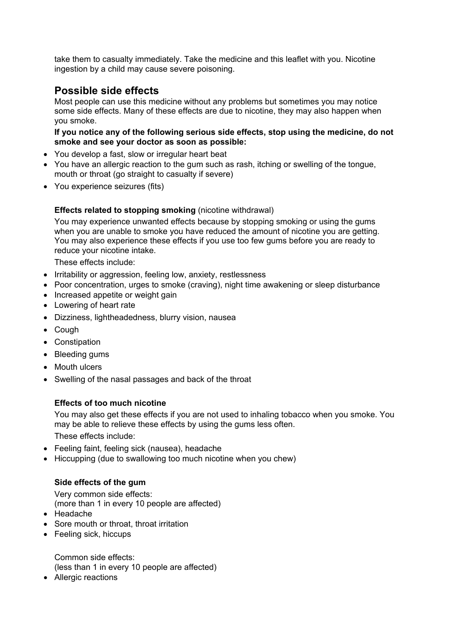take them to casualty immediately. Take the medicine and this leaflet with you. Nicotine ingestion by a child may cause severe poisoning.

## **Possible side effects**

Most people can use this medicine without any problems but sometimes you may notice some side effects. Many of these effects are due to nicotine, they may also happen when you smoke.

#### **If you notice any of the following serious side effects, stop using the medicine, do not smoke and see your doctor as soon as possible:**

- You develop a fast, slow or irregular heart beat
- You have an allergic reaction to the gum such as rash, itching or swelling of the tongue, mouth or throat (go straight to casualty if severe)
- You experience seizures (fits)

#### **Effects related to stopping smoking** (nicotine withdrawal)

You may experience unwanted effects because by stopping smoking or using the gums when you are unable to smoke you have reduced the amount of nicotine you are getting. You may also experience these effects if you use too few gums before you are ready to reduce your nicotine intake.

These effects include:

- Irritability or aggression, feeling low, anxiety, restlessness
- Poor concentration, urges to smoke (craving), night time awakening or sleep disturbance
- Increased appetite or weight gain
- Lowering of heart rate
- Dizziness, lightheadedness, blurry vision, nausea
- Cough
- Constipation
- Bleeding gums
- Mouth ulcers
- Swelling of the nasal passages and back of the throat

#### **Effects of too much nicotine**

You may also get these effects if you are not used to inhaling tobacco when you smoke. You may be able to relieve these effects by using the gums less often.

These effects include:

- Feeling faint, feeling sick (nausea), headache
- Hiccupping (due to swallowing too much nicotine when you chew)

#### **Side effects of the gum**

Very common side effects:

- (more than 1 in every 10 people are affected)
- Headache
- Sore mouth or throat, throat irritation
- Feeling sick, hiccups

Common side effects:

(less than 1 in every 10 people are affected)

• Allergic reactions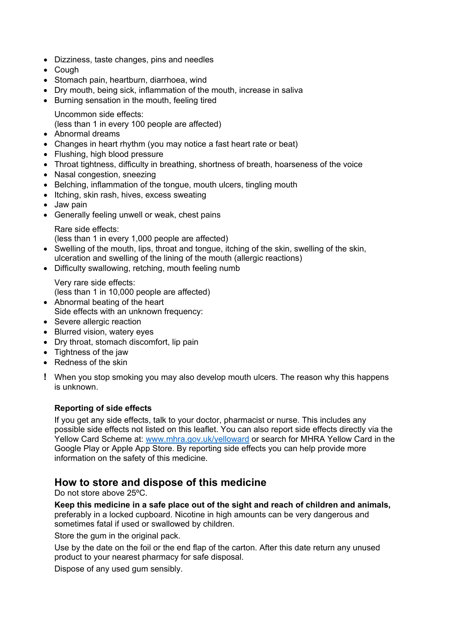- Dizziness, taste changes, pins and needles
- Cough
- Stomach pain, heartburn, diarrhoea, wind
- Dry mouth, being sick, inflammation of the mouth, increase in saliva
- Burning sensation in the mouth, feeling tired

Uncommon side effects:

(less than 1 in every 100 people are affected)

- Abnormal dreams
- Changes in heart rhythm (you may notice a fast heart rate or beat)
- Flushing, high blood pressure
- Throat tightness, difficulty in breathing, shortness of breath, hoarseness of the voice
- Nasal congestion, sneezing
- Belching, inflammation of the tongue, mouth ulcers, tingling mouth
- Itching, skin rash, hives, excess sweating
- Jaw pain
- Generally feeling unwell or weak, chest pains

Rare side effects:

(less than 1 in every 1,000 people are affected)

- Swelling of the mouth, lips, throat and tongue, itching of the skin, swelling of the skin, ulceration and swelling of the lining of the mouth (allergic reactions)
- Difficulty swallowing, retching, mouth feeling numb

Very rare side effects: (less than 1 in 10,000 people are affected)

- Abnormal beating of the heart Side effects with an unknown frequency:
- Severe allergic reaction
- Blurred vision, watery eyes
- Dry throat, stomach discomfort, lip pain
- Tightness of the jaw
- Redness of the skin
- **!** When you stop smoking you may also develop mouth ulcers. The reason why this happens is unknown.

## **Reporting of side effects**

If you get any side effects, talk to your doctor, pharmacist or nurse. This includes any possible side effects not listed on this leaflet. You can also report side effects directly via the Yellow Card Scheme at: www.mhra.gov.uk/yelloward or search for MHRA Yellow Card in the Google Play or Apple App Store. By reporting side effects you can help provide more information on the safety of this medicine.

# **How to store and dispose of this medicine**

Do not store above 25ºC.

**Keep this medicine in a safe place out of the sight and reach of children and animals,** preferably in a locked cupboard. Nicotine in high amounts can be very dangerous and sometimes fatal if used or swallowed by children.

Store the gum in the original pack.

Use by the date on the foil or the end flap of the carton. After this date return any unused product to your nearest pharmacy for safe disposal.

Dispose of any used gum sensibly.